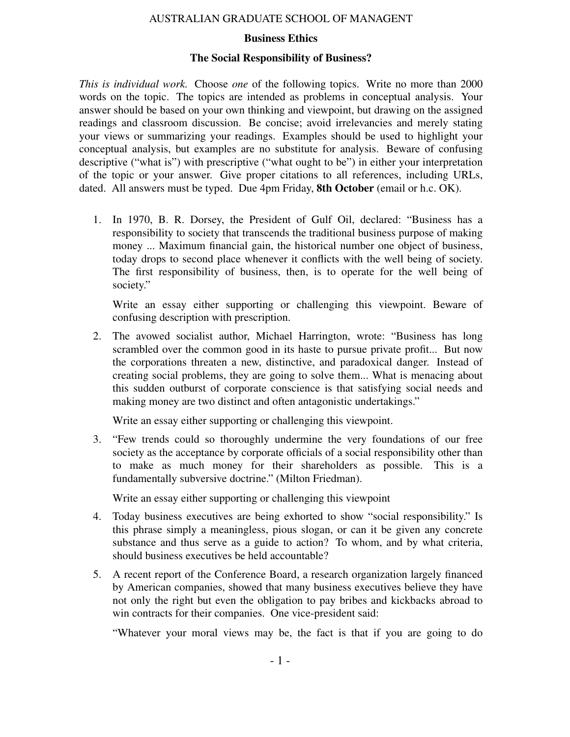## AUSTRALIAN GRADUATE SCHOOL OF MANAGENT

## **Business Ethics**

## **The Social Responsibility of Business?**

*This is individual work.* Choose *one* of the following topics. Write no more than 2000 words on the topic. The topics are intended as problems in conceptual analysis. Your answer should be based on your own thinking and viewpoint, but drawing on the assigned readings and classroom discussion. Be concise; avoid irrelevancies and merely stating your views or summarizing your readings. Examples should be used to highlight your conceptual analysis, but examples are no substitute for analysis. Beware of confusing descriptive ("what is") with prescriptive ("what ought to be") in either your interpretation of the topic or your answer. Give proper citations to all references, including URLs, dated. All answers must be typed. Due 4pm Friday, **8th October** (email or h.c. OK).

1. In 1970, B. R. Dorsey, the President of Gulf Oil, declared: "Business has a responsibility to society that transcends the traditional business purpose of making money ... Maximum financial gain, the historical number one object of business, today drops to second place whenever it conflicts with the well being of society. The first responsibility of business, then, is to operate for the well being of society."

Write an essay either supporting or challenging this viewpoint. Beware of confusing description with prescription.

2. The avowed socialist author, Michael Harrington, wrote: "Business has long scrambled over the common good in its haste to pursue private profit... But now the corporations threaten a new, distinctive, and paradoxical danger. Instead of creating social problems, they are going to solve them... What is menacing about this sudden outburst of corporate conscience is that satisfying social needs and making money are two distinct and often antagonistic undertakings."

Write an essay either supporting or challenging this viewpoint.

3. "Few trends could so thoroughly undermine the very foundations of our free society as the acceptance by corporate officials of a social responsibility other than to make as much money for their shareholders as possible. This is a fundamentally subversive doctrine." (Milton Friedman).

Write an essay either supporting or challenging this viewpoint

- 4. Today business executives are being exhorted to show "social responsibility." Is this phrase simply a meaningless, pious slogan, or can it be given any concrete substance and thus serve as a guide to action? To whom, and by what criteria, should business executives be held accountable?
- 5. A recent report of the Conference Board, a research organization largely financed by American companies, showed that many business executives believe they have not only the right but even the obligation to pay bribes and kickbacks abroad to win contracts for their companies. One vice-president said:

"Whatever your moral views may be, the fact is that if you are going to do